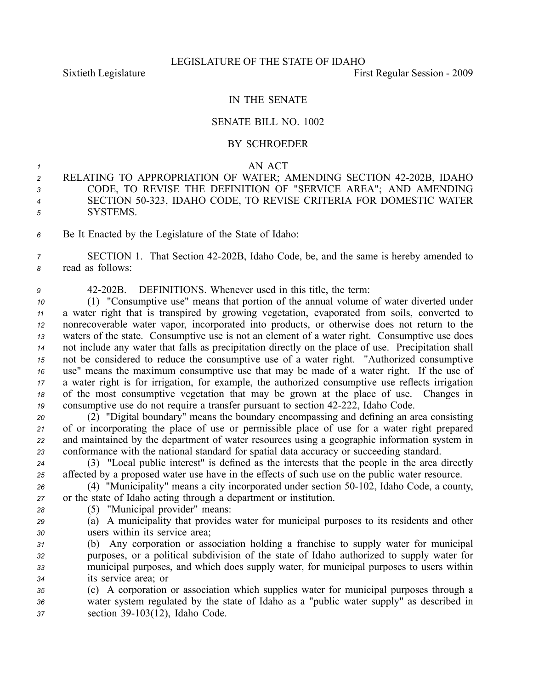## IN THE SENATE

## SENATE BILL NO. 1002

## BY SCHROEDER

## *1* AN ACT

- 2 RELATING TO APPROPRIATION OF WATER; AMENDING SECTION 42-202B, IDAHO *<sup>3</sup>* CODE, TO REVISE THE DEFINITION OF "SERVICE AREA"; AND AMENDING *<sup>4</sup>* SECTION 50323, IDAHO CODE, TO REVISE CRITERIA FOR DOMESTIC WATER *<sup>5</sup>* SYSTEMS.
- *<sup>6</sup>* Be It Enacted by the Legislature of the State of Idaho:

*<sup>7</sup>* SECTION 1. That Section 42202B, Idaho Code, be, and the same is hereby amended to *<sup>8</sup>* read as follows:

*<sup>9</sup>* 42202B. DEFINITIONS. Whenever used in this title, the term:

 (1) "Consumptive use" means that portion of the annual volume of water diverted under <sup>a</sup> water right that is transpired by growing vegetation, evaporated from soils, converted to nonrecoverable water vapor, incorporated into products, or otherwise does not return to the waters of the state. Consumptive use is not an element of <sup>a</sup> water right. Consumptive use does not include any water that falls as precipitation directly on the place of use. Precipitation shall not be considered to reduce the consumptive use of <sup>a</sup> water right. "Authorized consumptive use" means the maximum consumptive use that may be made of <sup>a</sup> water right. If the use of <sup>a</sup> water right is for irrigation, for example, the authorized consumptive use reflects irrigation of the most consumptive vegetation that may be grown at the place of use. Changes in consumptive use do not require a transfer pursuant to section 42-222, Idaho Code.

 (2) "Digital boundary" means the boundary encompassing and defining an area consisting of or incorporating the place of use or permissible place of use for <sup>a</sup> water right prepared and maintained by the department of water resources using <sup>a</sup> geographic information system in conformance with the national standard for spatial data accuracy or succeeding standard.

*<sup>24</sup>* (3) "Local public interest" is defined as the interests that the people in the area directly *<sup>25</sup>* affected by <sup>a</sup> proposed water use have in the effects of such use on the public water resource.

26 (4) "Municipality" means a city incorporated under section 50-102, Idaho Code, a county, *<sup>27</sup>* or the state of Idaho acting through <sup>a</sup> department or institution.

- *<sup>28</sup>* (5) "Municipal provider" means:
- *<sup>29</sup>* (a) A municipality that provides water for municipal purposes to its residents and other *<sup>30</sup>* users within its service area;

 (b) Any corporation or association holding <sup>a</sup> franchise to supply water for municipal purposes, or <sup>a</sup> political subdivision of the state of Idaho authorized to supply water for municipal purposes, and which does supply water, for municipal purposes to users within its service area; or

*<sup>35</sup>* (c) A corporation or association which supplies water for municipal purposes through <sup>a</sup> *<sup>36</sup>* water system regulated by the state of Idaho as <sup>a</sup> "public water supply" as described in *<sup>37</sup>* section 39103(12), Idaho Code.